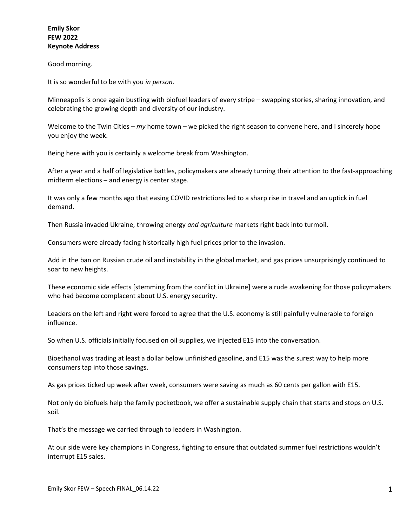## **Emily Skor FEW 2022 Keynote Address**

## Good morning.

It is so wonderful to be with you *in person*.

Minneapolis is once again bustling with biofuel leaders of every stripe – swapping stories, sharing innovation, and celebrating the growing depth and diversity of our industry.

Welcome to the Twin Cities – *my* home town – we picked the right season to convene here, and I sincerely hope you enjoy the week.

Being here with you is certainly a welcome break from Washington.

After a year and a half of legislative battles, policymakers are already turning their attention to the fast-approaching midterm elections – and energy is center stage.

It was only a few months ago that easing COVID restrictions led to a sharp rise in travel and an uptick in fuel demand.

Then Russia invaded Ukraine, throwing energy *and agriculture* markets right back into turmoil.

Consumers were already facing historically high fuel prices prior to the invasion.

Add in the ban on Russian crude oil and instability in the global market, and gas prices unsurprisingly continued to soar to new heights.

These economic side effects [stemming from the conflict in Ukraine] were a rude awakening for those policymakers who had become complacent about U.S. energy security.

Leaders on the left and right were forced to agree that the U.S. economy is still painfully vulnerable to foreign influence.

So when U.S. officials initially focused on oil supplies, we injected E15 into the conversation.

Bioethanol was trading at least a dollar below unfinished gasoline, and E15 was the surest way to help more consumers tap into those savings.

As gas prices ticked up week after week, consumers were saving as much as 60 cents per gallon with E15.

Not only do biofuels help the family pocketbook, we offer a sustainable supply chain that starts and stops on U.S. soil.

That's the message we carried through to leaders in Washington.

At our side were key champions in Congress, fighting to ensure that outdated summer fuel restrictions wouldn't interrupt E15 sales.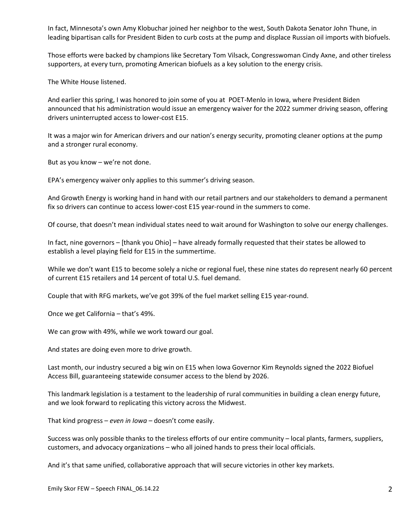In fact, Minnesota's own Amy Klobuchar joined her neighbor to the west, South Dakota Senator John Thune, in leading bipartisan calls for President Biden to curb costs at the pump and displace Russian oil imports with biofuels.

Those efforts were backed by champions like Secretary Tom Vilsack, Congresswoman Cindy Axne, and other tireless supporters, at every turn, promoting American biofuels as a key solution to the energy crisis.

The White House listened.

And earlier this spring, I was honored to join some of you at POET-Menlo in Iowa, where President Biden announced that his administration would issue an emergency waiver for the 2022 summer driving season, offering drivers uninterrupted access to lower-cost E15.

It was a major win for American drivers and our nation's energy security, promoting cleaner options at the pump and a stronger rural economy.

But as you know – we're not done.

EPA's emergency waiver only applies to this summer's driving season.

And Growth Energy is working hand in hand with our retail partners and our stakeholders to demand a permanent fix so drivers can continue to access lower-cost E15 year-round in the summers to come.

Of course, that doesn't mean individual states need to wait around for Washington to solve our energy challenges.

In fact, nine governors – [thank you Ohio] – have already formally requested that their states be allowed to establish a level playing field for E15 in the summertime.

While we don't want E15 to become solely a niche or regional fuel, these nine states do represent nearly 60 percent of current E15 retailers and 14 percent of total U.S. fuel demand.

Couple that with RFG markets, we've got 39% of the fuel market selling E15 year-round.

Once we get California – that's 49%.

We can grow with 49%, while we work toward our goal.

And states are doing even more to drive growth.

Last month, our industry secured a big win on E15 when Iowa Governor Kim Reynolds signed the 2022 Biofuel Access Bill, guaranteeing statewide consumer access to the blend by 2026.

This landmark legislation is a testament to the leadership of rural communities in building a clean energy future, and we look forward to replicating this victory across the Midwest.

That kind progress – *even in Iowa* – doesn't come easily.

Success was only possible thanks to the tireless efforts of our entire community – local plants, farmers, suppliers, customers, and advocacy organizations – who all joined hands to press their local officials.

And it's that same unified, collaborative approach that will secure victories in other key markets.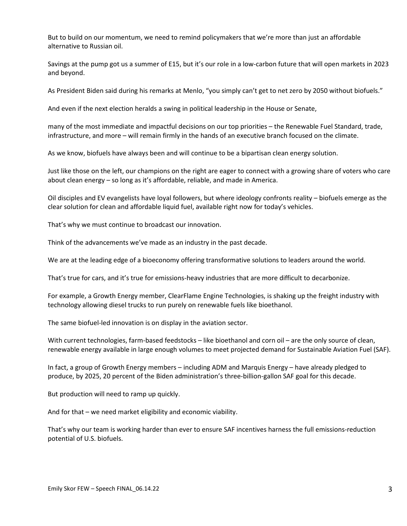But to build on our momentum, we need to remind policymakers that we're more than just an affordable alternative to Russian oil.

Savings at the pump got us a summer of E15, but it's our role in a low-carbon future that will open markets in 2023 and beyond.

As President Biden said during his remarks at Menlo, "you simply can't get to net zero by 2050 without biofuels."

And even if the next election heralds a swing in political leadership in the House or Senate,

many of the most immediate and impactful decisions on our top priorities – the Renewable Fuel Standard, trade, infrastructure, and more – will remain firmly in the hands of an executive branch focused on the climate.

As we know, biofuels have always been and will continue to be a bipartisan clean energy solution.

Just like those on the left, our champions on the right are eager to connect with a growing share of voters who care about clean energy – so long as it's affordable, reliable, and made in America.

Oil disciples and EV evangelists have loyal followers, but where ideology confronts reality – biofuels emerge as the clear solution for clean and affordable liquid fuel, available right now for today's vehicles.

That's why we must continue to broadcast our innovation.

Think of the advancements we've made as an industry in the past decade.

We are at the leading edge of a bioeconomy offering transformative solutions to leaders around the world.

That's true for cars, and it's true for emissions-heavy industries that are more difficult to decarbonize.

For example, a Growth Energy member, ClearFlame Engine Technologies, is shaking up the freight industry with technology allowing diesel trucks to run purely on renewable fuels like bioethanol.

The same biofuel-led innovation is on display in the aviation sector.

With current technologies, farm-based feedstocks – like bioethanol and corn oil – are the only source of clean, renewable energy available in large enough volumes to meet projected demand for Sustainable Aviation Fuel (SAF).

In fact, a group of Growth Energy members – including ADM and Marquis Energy – have already pledged to produce, by 2025, 20 percent of the Biden administration's three-billion-gallon SAF goal for this decade.

But production will need to ramp up quickly.

And for that – we need market eligibility and economic viability.

That's why our team is working harder than ever to ensure SAF incentives harness the full emissions-reduction potential of U.S. biofuels.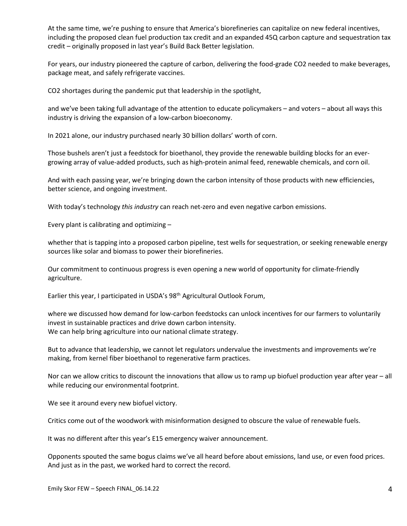At the same time, we're pushing to ensure that America's biorefineries can capitalize on new federal incentives, including the proposed clean fuel production tax credit and an expanded 45Q carbon capture and sequestration tax credit – originally proposed in last year's Build Back Better legislation.

For years, our industry pioneered the capture of carbon, delivering the food-grade CO2 needed to make beverages, package meat, and safely refrigerate vaccines.

CO2 shortages during the pandemic put that leadership in the spotlight,

and we've been taking full advantage of the attention to educate policymakers – and voters – about all ways this industry is driving the expansion of a low-carbon bioeconomy.

In 2021 alone, our industry purchased nearly 30 billion dollars' worth of corn.

Those bushels aren't just a feedstock for bioethanol, they provide the renewable building blocks for an evergrowing array of value-added products, such as high-protein animal feed, renewable chemicals, and corn oil.

And with each passing year, we're bringing down the carbon intensity of those products with new efficiencies, better science, and ongoing investment.

With today's technology *this industry* can reach net-zero and even negative carbon emissions.

Every plant is calibrating and optimizing –

whether that is tapping into a proposed carbon pipeline, test wells for sequestration, or seeking renewable energy sources like solar and biomass to power their biorefineries.

Our commitment to continuous progress is even opening a new world of opportunity for climate-friendly agriculture.

Earlier this year, I participated in USDA's 98th Agricultural Outlook Forum,

where we discussed how demand for low-carbon feedstocks can unlock incentives for our farmers to voluntarily invest in sustainable practices and drive down carbon intensity. We can help bring agriculture into our national climate strategy.

But to advance that leadership, we cannot let regulators undervalue the investments and improvements we're making, from kernel fiber bioethanol to regenerative farm practices.

Nor can we allow critics to discount the innovations that allow us to ramp up biofuel production year after year – all while reducing our environmental footprint.

We see it around every new biofuel victory.

Critics come out of the woodwork with misinformation designed to obscure the value of renewable fuels.

It was no different after this year's E15 emergency waiver announcement.

Opponents spouted the same bogus claims we've all heard before about emissions, land use, or even food prices. And just as in the past, we worked hard to correct the record.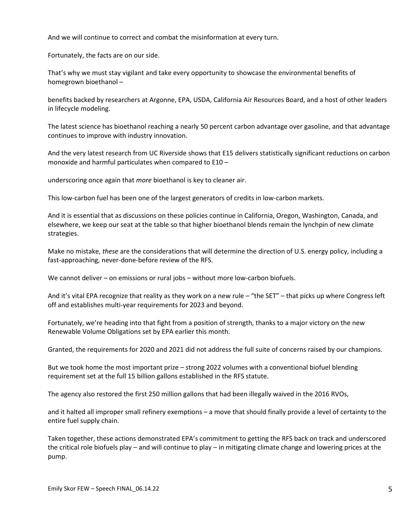And we will continue to correct and combat the misinformation at every turn.

Fortunately, the facts are on our side.

That's why we must stay vigilant and take every opportunity to showcase the environmental benefits of homegrown bioethanol –

benefits backed by researchers at Argonne, EPA, USDA, California Air Resources Board, and a host of other leaders in lifecycle modeling.

The latest science has bioethanol reaching a nearly 50 percent carbon advantage over gasoline, and that advantage continues to improve with industry innovation.

And the very latest research from UC Riverside shows that E15 delivers statistically significant reductions on carbon monoxide and harmful particulates when compared to E10 –

underscoring once again that *more* bioethanol is key to cleaner air.

This low-carbon fuel has been one of the largest generators of credits in low-carbon markets.

And it is essential that as discussions on these policies continue in California, Oregon, Washington, Canada, and elsewhere, we keep our seat at the table so that higher bioethanol blends remain the lynchpin of new climate strategies.

Make no mistake, *these* are the considerations that will determine the direction of U.S. energy policy, including a fast-approaching, never-done-before review of the RFS.

We cannot deliver – on emissions or rural jobs – without more low-carbon biofuels.

And it's vital EPA recognize that reality as they work on a new rule – "the SET" – that picks up where Congress left off and establishes multi-year requirements for 2023 and beyond.

Fortunately, we're heading into that fight from a position of strength, thanks to a major victory on the new Renewable Volume Obligations set by EPA earlier this month.

Granted, the requirements for 2020 and 2021 did not address the full suite of concerns raised by our champions.

But we took home the most important prize – strong 2022 volumes with a conventional biofuel blending requirement set at the full 15 billion gallons established in the RFS statute.

The agency also restored the first 250 million gallons that had been illegally waived in the 2016 RVOs,

and it halted all improper small refinery exemptions – a move that should finally provide a level of certainty to the entire fuel supply chain.

Taken together, these actions demonstrated EPA's commitment to getting the RFS back on track and underscored the critical role biofuels play – and will continue to play – in mitigating climate change and lowering prices at the pump.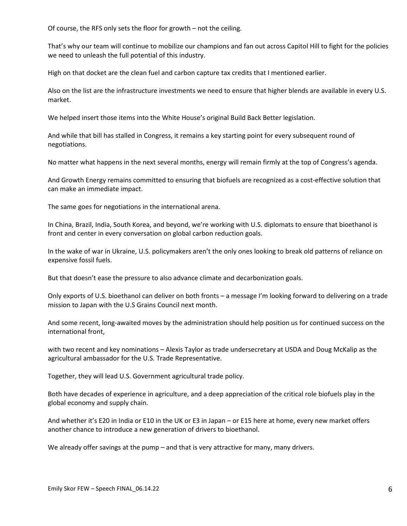Of course, the RFS only sets the floor for growth – not the ceiling.

That's why our team will continue to mobilize our champions and fan out across Capitol Hill to fight for the policies we need to unleash the full potential of this industry.

High on that docket are the clean fuel and carbon capture tax credits that I mentioned earlier.

Also on the list are the infrastructure investments we need to ensure that higher blends are available in every U.S. market.

We helped insert those items into the White House's original Build Back Better legislation.

And while that bill has stalled in Congress, it remains a key starting point for every subsequent round of negotiations.

No matter what happens in the next several months, energy will remain firmly at the top of Congress's agenda.

And Growth Energy remains committed to ensuring that biofuels are recognized as a cost-effective solution that can make an immediate impact.

The same goes for negotiations in the international arena.

In China, Brazil, India, South Korea, and beyond, we're working with U.S. diplomats to ensure that bioethanol is front and center in every conversation on global carbon reduction goals.

In the wake of war in Ukraine, U.S. policymakers aren't the only ones looking to break old patterns of reliance on expensive fossil fuels.

But that doesn't ease the pressure to also advance climate and decarbonization goals.

Only exports of U.S. bioethanol can deliver on both fronts – a message I'm looking forward to delivering on a trade mission to Japan with the U.S Grains Council next month.

And some recent, long-awaited moves by the administration should help position us for continued success on the international front,

with two recent and key nominations – Alexis Taylor as trade undersecretary at USDA and Doug McKalip as the agricultural ambassador for the U.S. Trade Representative.

Together, they will lead U.S. Government agricultural trade policy.

Both have decades of experience in agriculture, and a deep appreciation of the critical role biofuels play in the global economy and supply chain.

And whether it's E20 in India or E10 in the UK or E3 in Japan – or E15 here at home, every new market offers another chance to introduce a new generation of drivers to bioethanol.

We already offer savings at the pump – and that is very attractive for many, many drivers.